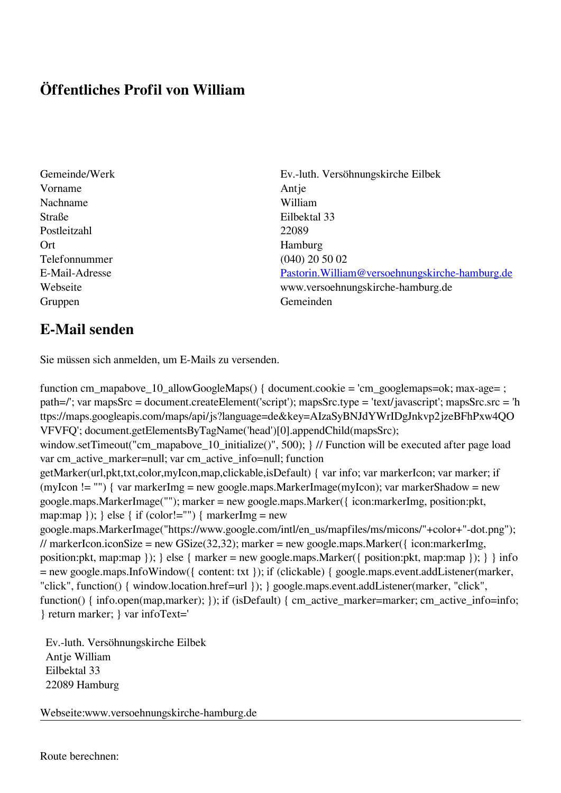## **Öffentliches Profil von William**

Vorname Antje Nachname William Straße Eilbektal 33 Postleitzahl 22089 Ort Hamburg Telefonnummer (040) 20 50 02 Gruppen Gemeinden Gemeinden Gemeinden Gemeinden Gemeinden Gemeinden Gemeinden Gemeinden Gemeinden Gemeinden G

Gemeinde/Werk Ev.-luth. Versöhnungskirche Eilbek E-Mail-Adresse [Pastorin.William@versoehnungskirche-hamburg.de](mailto:Pastorin.William@versoehnungskirche-hamburg.de) Webseite www.versoehnungskirche-hamburg.de

## **E-Mail senden**

Sie müssen sich anmelden, um E-Mails zu versenden.

function cm\_mapabove\_10\_allowGoogleMaps() { document.cookie = 'cm\_googlemaps=ok; max-age= ; path=/'; var mapsSrc = document.createElement('script'); mapsSrc.type = 'text/javascript'; mapsSrc.src = 'h ttps://maps.googleapis.com/maps/api/js?language=de&key=AIzaSyBNJdYWrIDgJnkvp2jzeBFhPxw4QO VFVFQ'; document.getElementsByTagName('head')[0].appendChild(mapsSrc); window.setTimeout("cm\_mapabove\_10\_initialize()", 500); } // Function will be executed after page load var cm\_active\_marker=null; var cm\_active\_info=null; function getMarker(url,pkt,txt,color,myIcon,map,clickable,isDefault) { var info; var markerIcon; var marker; if (myIcon != "") { var markerImg = new google.maps.MarkerImage(myIcon); var markerShadow = new google.maps.MarkerImage(""); marker = new google.maps.Marker({ icon:markerImg, position:pkt, map:map  $\}$ ;  $\}$  else  $\{$  if (color!="")  $\{$  markerImg = new google.maps.MarkerImage("https://www.google.com/intl/en\_us/mapfiles/ms/micons/"+color+"-dot.png"); // markerIcon.iconSize = new GSize(32,32); marker = new google.maps.Marker({ $i$ con:markerImg, position:pkt, map:map }); } else { marker = new google.maps.Marker({ position:pkt, map:map }); } } info = new google.maps.InfoWindow({ content: txt }); if (clickable) { google.maps.event.addListener(marker, "click", function() { window.location.href=url }); } google.maps.event.addListener(marker, "click", function() { info.open(map,marker); }); if (isDefault) { cm\_active\_marker=marker; cm\_active\_info=info; } return marker; } var infoText='

 Ev.-luth. Versöhnungskirche Eilbek Antje William Eilbektal 33 22089 Hamburg

Webseite:www.versoehnungskirche-hamburg.de